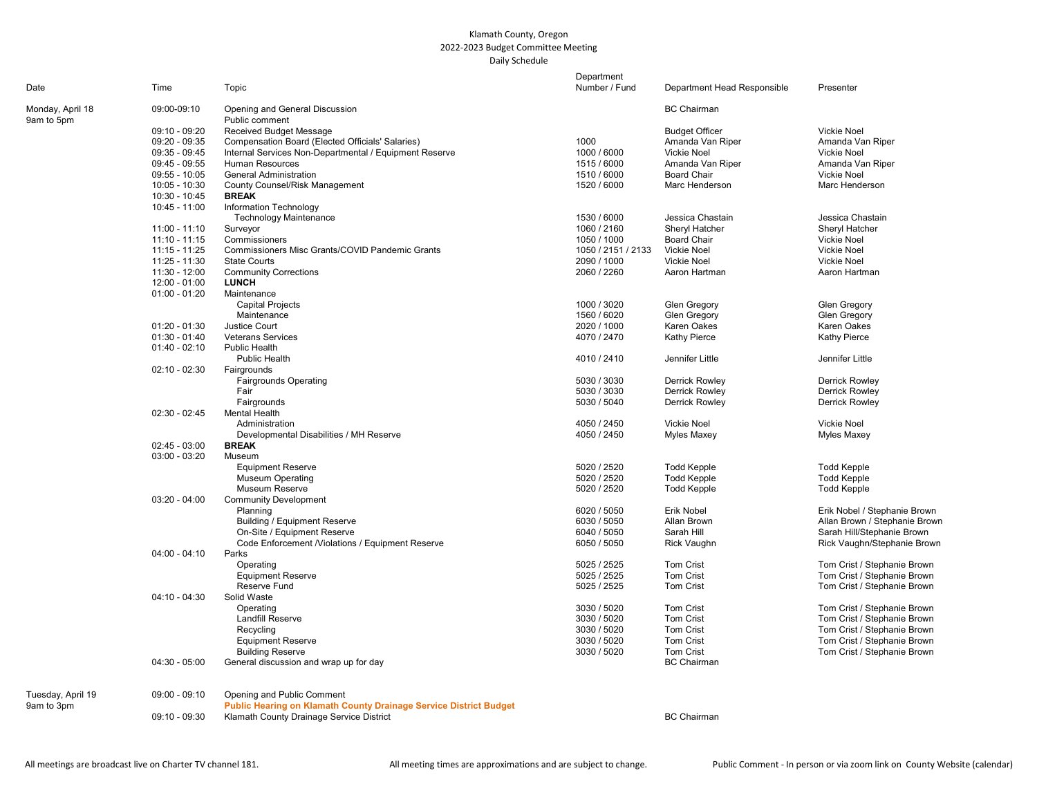## Klamath County, Oregon 2022-2023 Budget Committee Meeting Daily Schedule

|                                |                 |                                                                   | Department         |                             |                               |
|--------------------------------|-----------------|-------------------------------------------------------------------|--------------------|-----------------------------|-------------------------------|
| Date                           | Time            | Topic                                                             | Number / Fund      | Department Head Responsible | Presenter                     |
| Monday, April 18<br>9am to 5pm | 09:00-09:10     | Opening and General Discussion<br>Public comment                  |                    | <b>BC</b> Chairman          |                               |
|                                | 09:10 - 09:20   | Received Budget Message                                           |                    | <b>Budget Officer</b>       | <b>Vickie Noel</b>            |
|                                | $09:20 - 09:35$ | Compensation Board (Elected Officials' Salaries)                  | 1000               | Amanda Van Riper            | Amanda Van Riper              |
|                                | $09:35 - 09:45$ | Internal Services Non-Departmental / Equipment Reserve            | 1000 / 6000        | Vickie Noel                 | <b>Vickie Noel</b>            |
|                                | 09:45 - 09:55   | <b>Human Resources</b>                                            | 1515 / 6000        | Amanda Van Riper            | Amanda Van Riper              |
|                                | $09:55 - 10:05$ | <b>General Administration</b>                                     | 1510 / 6000        | <b>Board Chair</b>          | Vickie Noel                   |
|                                | 10:05 - 10:30   | <b>County Counsel/Risk Management</b>                             | 1520 / 6000        | Marc Henderson              | Marc Henderson                |
|                                | $10:30 - 10:45$ | <b>BREAK</b>                                                      |                    |                             |                               |
|                                | 10:45 - 11:00   | Information Technology                                            |                    |                             |                               |
|                                |                 | <b>Technology Maintenance</b>                                     | 1530 / 6000        | Jessica Chastain            | Jessica Chastain              |
|                                | 11:00 - 11:10   | Surveyor                                                          | 1060 / 2160        | Sheryl Hatcher              | Sheryl Hatcher                |
|                                | $11:10 - 11:15$ | Commissioners                                                     | 1050 / 1000        | <b>Board Chair</b>          | Vickie Noel                   |
|                                | 11:15 - 11:25   | Commissioners Misc Grants/COVID Pandemic Grants                   | 1050 / 2151 / 2133 | Vickie Noel                 | <b>Vickie Noel</b>            |
|                                | 11:25 - 11:30   | <b>State Courts</b>                                               | 2090 / 1000        | Vickie Noel                 | Vickie Noel                   |
|                                | 11:30 - 12:00   | <b>Community Corrections</b>                                      | 2060 / 2260        | Aaron Hartman               | Aaron Hartman                 |
|                                | $12:00 - 01:00$ | <b>LUNCH</b>                                                      |                    |                             |                               |
|                                | $01:00 - 01:20$ | Maintenance                                                       |                    |                             |                               |
|                                |                 | <b>Capital Projects</b>                                           | 1000 / 3020        | Glen Gregory                | Glen Gregory                  |
|                                |                 | Maintenance                                                       | 1560 / 6020        | <b>Glen Gregory</b>         | Glen Gregory                  |
|                                | $01:20 - 01:30$ | <b>Justice Court</b>                                              | 2020 / 1000        | Karen Oakes                 | Karen Oakes                   |
|                                | $01:30 - 01:40$ | <b>Veterans Services</b>                                          | 4070 / 2470        | <b>Kathy Pierce</b>         | Kathy Pierce                  |
|                                | $01:40 - 02:10$ | <b>Public Health</b>                                              |                    |                             |                               |
|                                |                 | Public Health                                                     | 4010 / 2410        | Jennifer Little             | Jennifer Little               |
|                                | $02:10 - 02:30$ | Fairgrounds                                                       |                    |                             |                               |
|                                |                 | <b>Fairgrounds Operating</b>                                      | 5030 / 3030        | <b>Derrick Rowley</b>       | <b>Derrick Rowley</b>         |
|                                |                 | Fair                                                              | 5030 / 3030        | <b>Derrick Rowley</b>       | <b>Derrick Rowley</b>         |
|                                |                 | Fairgrounds                                                       | 5030 / 5040        | <b>Derrick Rowley</b>       | <b>Derrick Rowley</b>         |
|                                | $02:30 - 02:45$ | <b>Mental Health</b>                                              |                    |                             |                               |
|                                |                 | Administration                                                    | 4050 / 2450        | Vickie Noel                 | Vickie Noel                   |
|                                |                 | Developmental Disabilities / MH Reserve                           | 4050 / 2450        | <b>Myles Maxey</b>          | Myles Maxey                   |
|                                | $02:45 - 03:00$ | <b>BREAK</b>                                                      |                    |                             |                               |
|                                | $03:00 - 03:20$ | Museum                                                            |                    |                             |                               |
|                                |                 | <b>Equipment Reserve</b>                                          | 5020 / 2520        | <b>Todd Kepple</b>          | <b>Todd Kepple</b>            |
|                                |                 | <b>Museum Operating</b>                                           | 5020 / 2520        | <b>Todd Kepple</b>          | <b>Todd Kepple</b>            |
|                                |                 | Museum Reserve                                                    | 5020 / 2520        | <b>Todd Kepple</b>          | <b>Todd Kepple</b>            |
|                                | $03:20 - 04:00$ | <b>Community Development</b>                                      |                    |                             |                               |
|                                |                 | Planning                                                          | 6020 / 5050        | Erik Nobel                  | Erik Nobel / Stephanie Brown  |
|                                |                 | <b>Building / Equipment Reserve</b>                               | 6030 / 5050        | Allan Brown                 | Allan Brown / Stephanie Brown |
|                                |                 | On-Site / Equipment Reserve                                       | 6040 / 5050        | Sarah Hill                  | Sarah Hill/Stephanie Brown    |
|                                |                 | Code Enforcement /Violations / Equipment Reserve                  | 6050 / 5050        | <b>Rick Vaughn</b>          | Rick Vaughn/Stephanie Brown   |
|                                | $04:00 - 04:10$ | Parks                                                             |                    |                             |                               |
|                                |                 | Operating                                                         | 5025 / 2525        | <b>Tom Crist</b>            | Tom Crist / Stephanie Brown   |
|                                |                 | <b>Equipment Reserve</b>                                          | 5025 / 2525        | <b>Tom Crist</b>            | Tom Crist / Stephanie Brown   |
|                                |                 | Reserve Fund                                                      | 5025 / 2525        | <b>Tom Crist</b>            | Tom Crist / Stephanie Brown   |
|                                | $04:10 - 04:30$ | Solid Waste                                                       |                    |                             |                               |
|                                |                 | Operating                                                         | 3030 / 5020        | <b>Tom Crist</b>            | Tom Crist / Stephanie Brown   |
|                                |                 | <b>Landfill Reserve</b>                                           | 3030 / 5020        | <b>Tom Crist</b>            | Tom Crist / Stephanie Brown   |
|                                |                 | Recycling                                                         | 3030 / 5020        | Tom Crist                   | Tom Crist / Stephanie Brown   |
|                                |                 | <b>Equipment Reserve</b>                                          | 3030 / 5020        | Tom Crist                   | Tom Crist / Stephanie Brown   |
|                                |                 | <b>Building Reserve</b>                                           | 3030 / 5020        | <b>Tom Crist</b>            | Tom Crist / Stephanie Brown   |
|                                | $04:30 - 05:00$ | General discussion and wrap up for day                            |                    | <b>BC</b> Chairman          |                               |
| Tuesday, April 19              | $09:00 - 09:10$ | Opening and Public Comment                                        |                    |                             |                               |
| 9am to 3pm                     |                 | Public Hearing on Klamath County Drainage Service District Budget |                    |                             |                               |
|                                | $09:10 - 09:30$ | Klamath County Drainage Service District                          |                    | <b>BC Chairman</b>          |                               |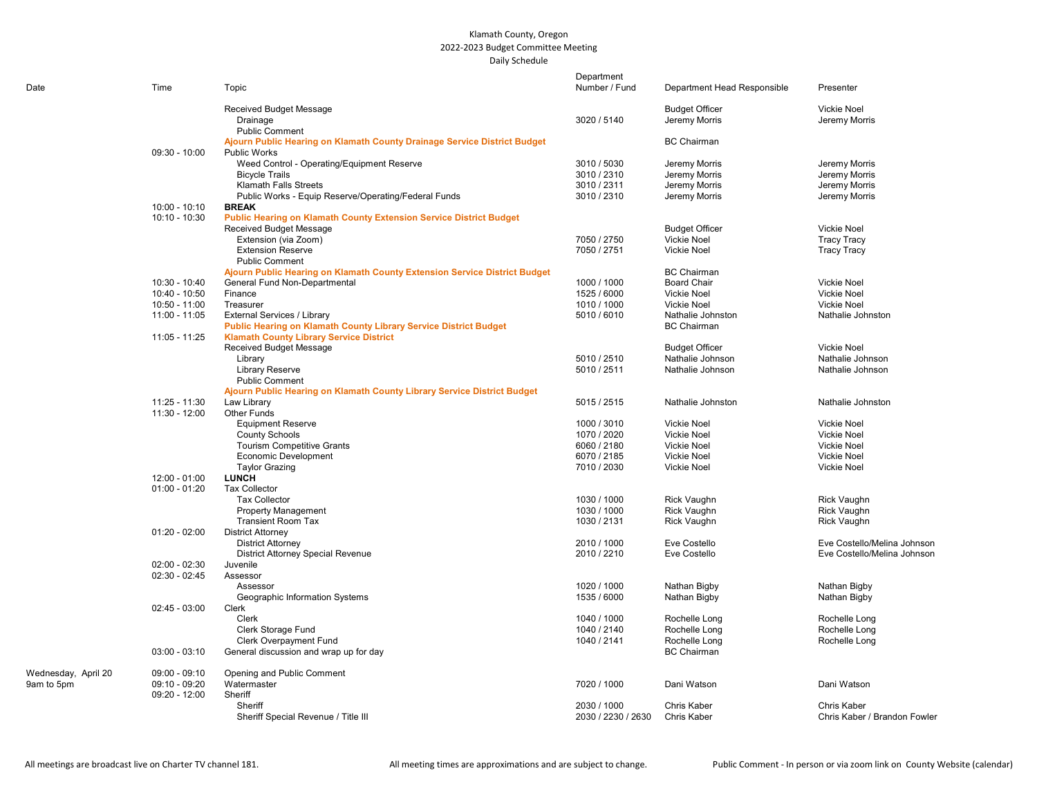## Klamath County, Oregon 2022-2023 Budget Committee Meeting Daily Schedule

| Date                | Time                           | Topic                                                                     | Department<br>Number / Fund | Department Head Responsible              | Presenter                                |
|---------------------|--------------------------------|---------------------------------------------------------------------------|-----------------------------|------------------------------------------|------------------------------------------|
|                     |                                | Received Budget Message                                                   |                             | <b>Budget Officer</b>                    | <b>Vickie Noel</b>                       |
|                     |                                | Drainage<br><b>Public Comment</b>                                         | 3020 / 5140                 | Jeremy Morris                            | Jeremy Morris                            |
|                     |                                | Ajourn Public Hearing on Klamath County Drainage Service District Budget  |                             | <b>BC Chairman</b>                       |                                          |
|                     | $09:30 - 10:00$                | <b>Public Works</b><br>Weed Control - Operating/Equipment Reserve         | 3010 / 5030                 | Jeremy Morris                            | Jeremy Morris                            |
|                     |                                | <b>Bicycle Trails</b>                                                     | 3010 / 2310                 | Jeremy Morris                            | Jeremy Morris                            |
|                     |                                | <b>Klamath Falls Streets</b>                                              | 3010 / 2311                 | Jeremy Morris                            | Jeremy Morris                            |
|                     |                                | Public Works - Equip Reserve/Operating/Federal Funds                      | 3010 / 2310                 | Jeremy Morris                            | Jeremy Morris                            |
|                     | 10:00 - 10:10                  | <b>BREAK</b>                                                              |                             |                                          |                                          |
|                     | 10:10 - 10:30                  | Public Hearing on Klamath County Extension Service District Budget        |                             |                                          |                                          |
|                     |                                | Received Budget Message                                                   |                             | <b>Budget Officer</b>                    | Vickie Noel                              |
|                     |                                | Extension (via Zoom)                                                      | 7050 / 2750                 | Vickie Noel                              | <b>Tracy Tracy</b>                       |
|                     |                                | <b>Extension Reserve</b>                                                  | 7050 / 2751                 | <b>Vickie Noel</b>                       | <b>Tracy Tracy</b>                       |
|                     |                                | <b>Public Comment</b>                                                     |                             |                                          |                                          |
|                     |                                | Ajourn Public Hearing on Klamath County Extension Service District Budget |                             | <b>BC</b> Chairman                       |                                          |
|                     | 10:30 - 10:40                  | General Fund Non-Departmental                                             | 1000 / 1000                 | <b>Board Chair</b>                       | <b>Vickie Noel</b>                       |
|                     | 10:40 - 10:50<br>10:50 - 11:00 | Finance<br>Treasurer                                                      | 1525 / 6000<br>1010 / 1000  | <b>Vickie Noel</b><br><b>Vickie Noel</b> | <b>Vickie Noel</b><br><b>Vickie Noel</b> |
|                     | 11:00 - 11:05                  | External Services / Library                                               | 5010 / 6010                 | Nathalie Johnston                        | Nathalie Johnston                        |
|                     |                                | Public Hearing on Klamath County Library Service District Budget          |                             | <b>BC</b> Chairman                       |                                          |
|                     | $11:05 - 11:25$                | <b>Klamath County Library Service District</b>                            |                             |                                          |                                          |
|                     |                                | Received Budget Message                                                   |                             | <b>Budget Officer</b>                    | <b>Vickie Noel</b>                       |
|                     |                                | Library                                                                   | 5010 / 2510                 | Nathalie Johnson                         | Nathalie Johnson                         |
|                     |                                | <b>Library Reserve</b>                                                    | 5010 / 2511                 | Nathalie Johnson                         | Nathalie Johnson                         |
|                     |                                | <b>Public Comment</b>                                                     |                             |                                          |                                          |
|                     |                                | Ajourn Public Hearing on Klamath County Library Service District Budget   |                             |                                          |                                          |
|                     | 11:25 - 11:30                  | Law Library                                                               | 5015 / 2515                 | Nathalie Johnston                        | Nathalie Johnston                        |
|                     | 11:30 - 12:00                  | Other Funds                                                               |                             |                                          |                                          |
|                     |                                | <b>Equipment Reserve</b>                                                  | 1000 / 3010                 | Vickie Noel                              | <b>Vickie Noel</b>                       |
|                     |                                | <b>County Schools</b>                                                     | 1070 / 2020                 | <b>Vickie Noel</b>                       | <b>Vickie Noel</b>                       |
|                     |                                | <b>Tourism Competitive Grants</b>                                         | 6060 / 2180                 | <b>Vickie Noel</b>                       | <b>Vickie Noel</b>                       |
|                     |                                | <b>Economic Development</b>                                               | 6070 / 2185                 | <b>Vickie Noel</b>                       | <b>Vickie Noel</b>                       |
|                     | 12:00 - 01:00                  | <b>Taylor Grazing</b><br><b>LUNCH</b>                                     | 7010 / 2030                 | <b>Vickie Noel</b>                       | <b>Vickie Noel</b>                       |
|                     | $01:00 - 01:20$                | <b>Tax Collector</b>                                                      |                             |                                          |                                          |
|                     |                                | <b>Tax Collector</b>                                                      | 1030 / 1000                 | <b>Rick Vaughn</b>                       | Rick Vaughn                              |
|                     |                                | <b>Property Management</b>                                                | 1030 / 1000                 | Rick Vaughn                              | Rick Vaughn                              |
|                     |                                | <b>Transient Room Tax</b>                                                 | 1030 / 2131                 | Rick Vaughn                              | Rick Vaughn                              |
|                     | $01:20 - 02:00$                | <b>District Attorney</b>                                                  |                             |                                          |                                          |
|                     |                                | <b>District Attorney</b>                                                  | 2010 / 1000                 | Eve Costello                             | Eve Costello/Melina Johnson              |
|                     |                                | <b>District Attorney Special Revenue</b>                                  | 2010 / 2210                 | Eve Costello                             | Eve Costello/Melina Johnson              |
|                     | $02:00 - 02:30$                | Juvenile                                                                  |                             |                                          |                                          |
|                     | $02:30 - 02:45$                | Assessor                                                                  |                             |                                          |                                          |
|                     |                                | Assessor                                                                  | 1020 / 1000                 | Nathan Bigby                             | Nathan Bigby                             |
|                     |                                | Geographic Information Systems                                            | 1535 / 6000                 | Nathan Bigby                             | Nathan Bigby                             |
|                     | $02:45 - 03:00$                | Clerk                                                                     |                             |                                          |                                          |
|                     |                                | Clerk                                                                     | 1040 / 1000                 | Rochelle Long                            | Rochelle Long                            |
|                     |                                | Clerk Storage Fund                                                        | 1040 / 2140                 | Rochelle Long                            | Rochelle Long                            |
|                     |                                | Clerk Overpayment Fund                                                    | 1040 / 2141                 | Rochelle Long                            | Rochelle Long                            |
|                     | $03:00 - 03:10$                | General discussion and wrap up for day                                    |                             | <b>BC</b> Chairman                       |                                          |
| Wednesday, April 20 | $09:00 - 09:10$                | Opening and Public Comment                                                |                             |                                          |                                          |
| 9am to 5pm          | 09:10 - 09:20                  | Watermaster                                                               | 7020 / 1000                 | Dani Watson                              | Dani Watson                              |
|                     | $09:20 - 12:00$                | Sheriff                                                                   |                             |                                          |                                          |
|                     |                                | Sheriff                                                                   | 2030 / 1000                 | <b>Chris Kaber</b>                       | Chris Kaber                              |
|                     |                                | Sheriff Special Revenue / Title III                                       | 2030 / 2230 / 2630          | <b>Chris Kaber</b>                       | Chris Kaber / Brandon Fowler             |